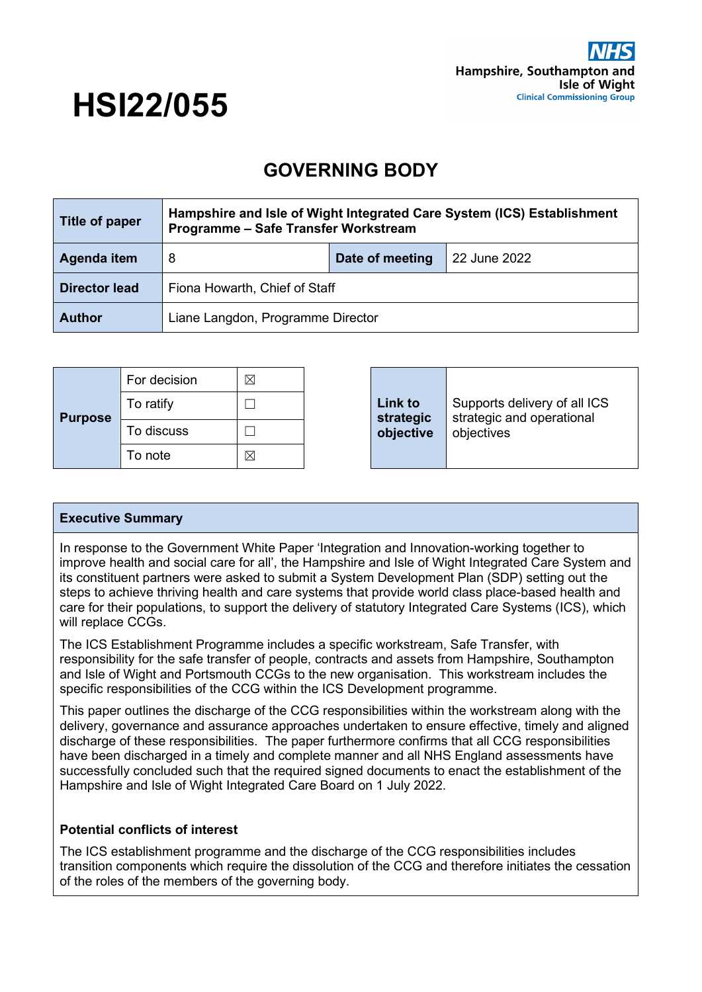

# **HSI22/055**

# **GOVERNING BODY**

| Title of paper       | Hampshire and Isle of Wight Integrated Care System (ICS) Establishment<br>Programme - Safe Transfer Workstream |                 |              |
|----------------------|----------------------------------------------------------------------------------------------------------------|-----------------|--------------|
| Agenda item          | 8                                                                                                              | Date of meeting | 22 June 2022 |
| <b>Director lead</b> | Fiona Howarth, Chief of Staff                                                                                  |                 |              |
| <b>Author</b>        | Liane Langdon, Programme Director                                                                              |                 |              |

| <b>Purpose</b> | For decision | ⊠ |  | Link to<br>strategic<br>objective | Supports delivery of all ICS<br>strategic and operational<br>objectives |
|----------------|--------------|---|--|-----------------------------------|-------------------------------------------------------------------------|
|                | To ratify    |   |  |                                   |                                                                         |
|                | To discuss   |   |  |                                   |                                                                         |
|                | To note      | ⊠ |  |                                   |                                                                         |

#### **Executive Summary**

In response to the Government White Paper 'Integration and Innovation-working together to improve health and social care for all', the Hampshire and Isle of Wight Integrated Care System and its constituent partners were asked to submit a System Development Plan (SDP) setting out the steps to achieve thriving health and care systems that provide world class place-based health and care for their populations, to support the delivery of statutory Integrated Care Systems (ICS), which will replace CCGs.

The ICS Establishment Programme includes a specific workstream, Safe Transfer, with responsibility for the safe transfer of people, contracts and assets from Hampshire, Southampton and Isle of Wight and Portsmouth CCGs to the new organisation. This workstream includes the specific responsibilities of the CCG within the ICS Development programme.

This paper outlines the discharge of the CCG responsibilities within the workstream along with the delivery, governance and assurance approaches undertaken to ensure effective, timely and aligned discharge of these responsibilities. The paper furthermore confirms that all CCG responsibilities have been discharged in a timely and complete manner and all NHS England assessments have successfully concluded such that the required signed documents to enact the establishment of the Hampshire and Isle of Wight Integrated Care Board on 1 July 2022.

#### **Potential conflicts of interest**

The ICS establishment programme and the discharge of the CCG responsibilities includes transition components which require the dissolution of the CCG and therefore initiates the cessation of the roles of the members of the governing body.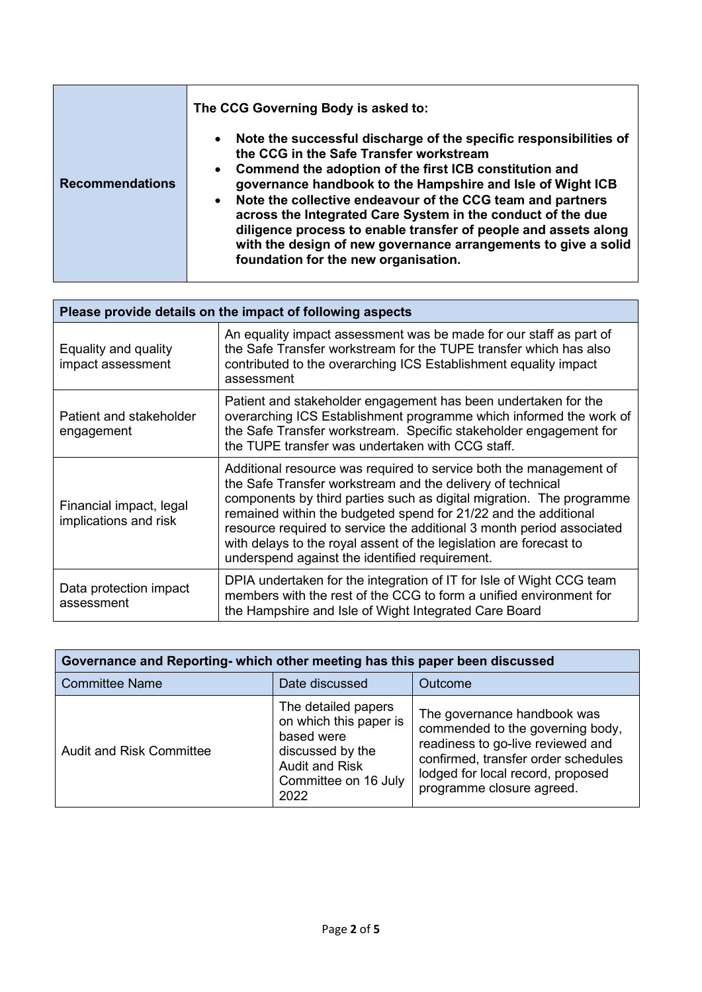|                        | The CCG Governing Body is asked to:                                                                                                                                                                                                                                                                                                                                                                                                                                                                                                                                                   |  |  |
|------------------------|---------------------------------------------------------------------------------------------------------------------------------------------------------------------------------------------------------------------------------------------------------------------------------------------------------------------------------------------------------------------------------------------------------------------------------------------------------------------------------------------------------------------------------------------------------------------------------------|--|--|
| <b>Recommendations</b> | Note the successful discharge of the specific responsibilities of<br>$\bullet$<br>the CCG in the Safe Transfer workstream<br>Commend the adoption of the first ICB constitution and<br>$\bullet$<br>governance handbook to the Hampshire and Isle of Wight ICB<br>Note the collective endeavour of the CCG team and partners<br>$\bullet$<br>across the Integrated Care System in the conduct of the due<br>diligence process to enable transfer of people and assets along<br>with the design of new governance arrangements to give a solid<br>foundation for the new organisation. |  |  |

| Please provide details on the impact of following aspects |                                                                                                                                                                                                                                                                                                                                                                                                                                                                              |  |  |  |
|-----------------------------------------------------------|------------------------------------------------------------------------------------------------------------------------------------------------------------------------------------------------------------------------------------------------------------------------------------------------------------------------------------------------------------------------------------------------------------------------------------------------------------------------------|--|--|--|
| Equality and quality<br>impact assessment                 | An equality impact assessment was be made for our staff as part of<br>the Safe Transfer workstream for the TUPE transfer which has also<br>contributed to the overarching ICS Establishment equality impact<br>assessment                                                                                                                                                                                                                                                    |  |  |  |
| Patient and stakeholder<br>engagement                     | Patient and stakeholder engagement has been undertaken for the<br>overarching ICS Establishment programme which informed the work of<br>the Safe Transfer workstream. Specific stakeholder engagement for<br>the TUPE transfer was undertaken with CCG staff.                                                                                                                                                                                                                |  |  |  |
| Financial impact, legal<br>implications and risk          | Additional resource was required to service both the management of<br>the Safe Transfer workstream and the delivery of technical<br>components by third parties such as digital migration. The programme<br>remained within the budgeted spend for 21/22 and the additional<br>resource required to service the additional 3 month period associated<br>with delays to the royal assent of the legislation are forecast to<br>underspend against the identified requirement. |  |  |  |
| Data protection impact<br>assessment                      | DPIA undertaken for the integration of IT for Isle of Wight CCG team<br>members with the rest of the CCG to form a unified environment for<br>the Hampshire and Isle of Wight Integrated Care Board                                                                                                                                                                                                                                                                          |  |  |  |

| Governance and Reporting- which other meeting has this paper been discussed |                                                                                                                                          |                                                                                                                                                                                                               |  |  |
|-----------------------------------------------------------------------------|------------------------------------------------------------------------------------------------------------------------------------------|---------------------------------------------------------------------------------------------------------------------------------------------------------------------------------------------------------------|--|--|
| <b>Committee Name</b>                                                       | Date discussed                                                                                                                           | Outcome                                                                                                                                                                                                       |  |  |
| <b>Audit and Risk Committee</b>                                             | The detailed papers<br>on which this paper is<br>based were<br>discussed by the<br><b>Audit and Risk</b><br>Committee on 16 July<br>2022 | The governance handbook was<br>commended to the governing body,<br>readiness to go-live reviewed and<br>confirmed, transfer order schedules<br>lodged for local record, proposed<br>programme closure agreed. |  |  |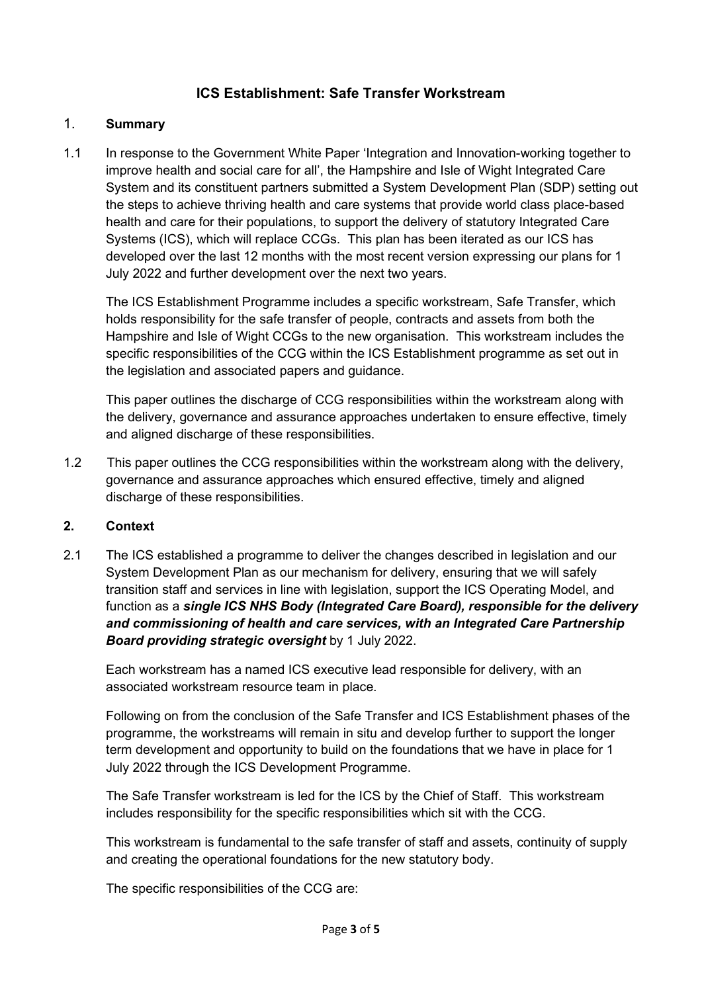# **ICS Establishment: Safe Transfer Workstream**

#### 1. **Summary**

1.1 In response to the Government White Paper 'Integration and Innovation-working together to improve health and social care for all', the Hampshire and Isle of Wight Integrated Care System and its constituent partners submitted a System Development Plan (SDP) setting out the steps to achieve thriving health and care systems that provide world class place-based health and care for their populations, to support the delivery of statutory Integrated Care Systems (ICS), which will replace CCGs. This plan has been iterated as our ICS has developed over the last 12 months with the most recent version expressing our plans for 1 July 2022 and further development over the next two years.

The ICS Establishment Programme includes a specific workstream, Safe Transfer, which holds responsibility for the safe transfer of people, contracts and assets from both the Hampshire and Isle of Wight CCGs to the new organisation. This workstream includes the specific responsibilities of the CCG within the ICS Establishment programme as set out in the legislation and associated papers and guidance.

This paper outlines the discharge of CCG responsibilities within the workstream along with the delivery, governance and assurance approaches undertaken to ensure effective, timely and aligned discharge of these responsibilities.

1.2 This paper outlines the CCG responsibilities within the workstream along with the delivery, governance and assurance approaches which ensured effective, timely and aligned discharge of these responsibilities.

#### **2. Context**

2.1 The ICS established a programme to deliver the changes described in legislation and our System Development Plan as our mechanism for delivery, ensuring that we will safely transition staff and services in line with legislation, support the ICS Operating Model, and function as a *single ICS NHS Body (Integrated Care Board), responsible for the delivery and commissioning of health and care services, with an Integrated Care Partnership Board providing strategic oversight* by 1 July 2022.

Each workstream has a named ICS executive lead responsible for delivery, with an associated workstream resource team in place.

Following on from the conclusion of the Safe Transfer and ICS Establishment phases of the programme, the workstreams will remain in situ and develop further to support the longer term development and opportunity to build on the foundations that we have in place for 1 July 2022 through the ICS Development Programme.

The Safe Transfer workstream is led for the ICS by the Chief of Staff. This workstream includes responsibility for the specific responsibilities which sit with the CCG.

This workstream is fundamental to the safe transfer of staff and assets, continuity of supply and creating the operational foundations for the new statutory body.

The specific responsibilities of the CCG are: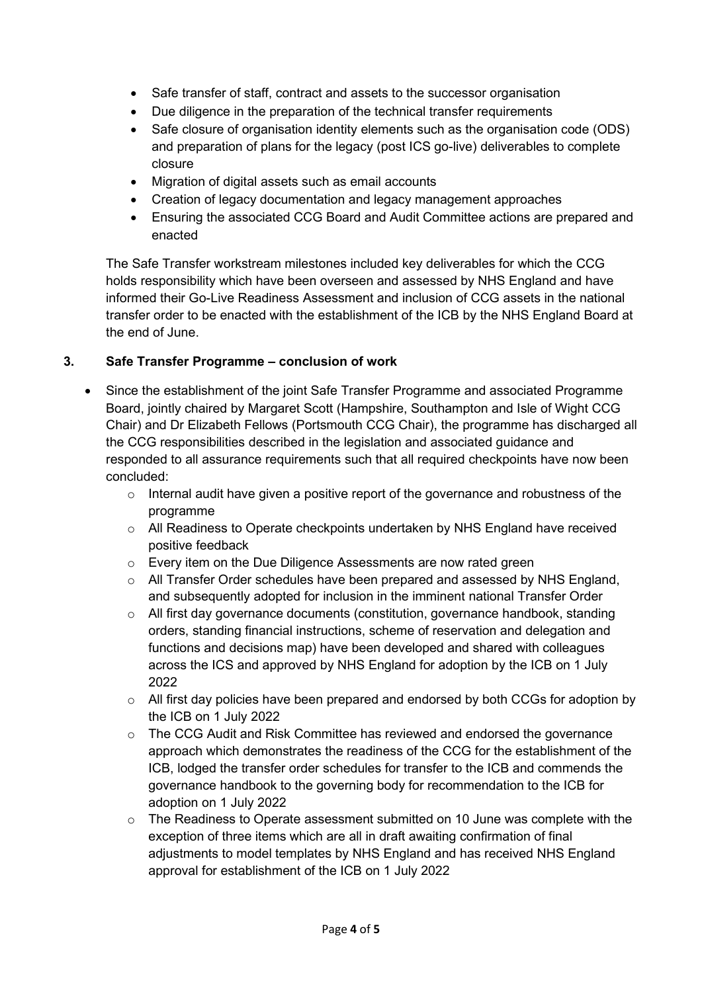- Safe transfer of staff, contract and assets to the successor organisation
- Due diligence in the preparation of the technical transfer requirements
- Safe closure of organisation identity elements such as the organisation code (ODS) and preparation of plans for the legacy (post ICS go-live) deliverables to complete closure
- Migration of digital assets such as email accounts
- Creation of legacy documentation and legacy management approaches
- Ensuring the associated CCG Board and Audit Committee actions are prepared and enacted

The Safe Transfer workstream milestones included key deliverables for which the CCG holds responsibility which have been overseen and assessed by NHS England and have informed their Go-Live Readiness Assessment and inclusion of CCG assets in the national transfer order to be enacted with the establishment of the ICB by the NHS England Board at the end of June.

## **3. Safe Transfer Programme – conclusion of work**

- Since the establishment of the joint Safe Transfer Programme and associated Programme Board, jointly chaired by Margaret Scott (Hampshire, Southampton and Isle of Wight CCG Chair) and Dr Elizabeth Fellows (Portsmouth CCG Chair), the programme has discharged all the CCG responsibilities described in the legislation and associated guidance and responded to all assurance requirements such that all required checkpoints have now been concluded:
	- o Internal audit have given a positive report of the governance and robustness of the programme
	- o All Readiness to Operate checkpoints undertaken by NHS England have received positive feedback
	- o Every item on the Due Diligence Assessments are now rated green
	- o All Transfer Order schedules have been prepared and assessed by NHS England, and subsequently adopted for inclusion in the imminent national Transfer Order
	- o All first day governance documents (constitution, governance handbook, standing orders, standing financial instructions, scheme of reservation and delegation and functions and decisions map) have been developed and shared with colleagues across the ICS and approved by NHS England for adoption by the ICB on 1 July 2022
	- o All first day policies have been prepared and endorsed by both CCGs for adoption by the ICB on 1 July 2022
	- $\circ$  The CCG Audit and Risk Committee has reviewed and endorsed the governance approach which demonstrates the readiness of the CCG for the establishment of the ICB, lodged the transfer order schedules for transfer to the ICB and commends the governance handbook to the governing body for recommendation to the ICB for adoption on 1 July 2022
	- $\circ$  The Readiness to Operate assessment submitted on 10 June was complete with the exception of three items which are all in draft awaiting confirmation of final adjustments to model templates by NHS England and has received NHS England approval for establishment of the ICB on 1 July 2022